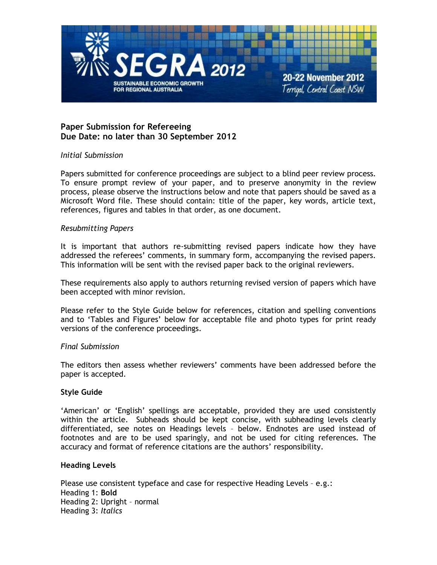

# **Paper Submission for Refereeing Due Date: no later than 30 September 2012**

### *Initial Submission*

Papers submitted for conference proceedings are subject to a blind peer review process. To ensure prompt review of your paper, and to preserve anonymity in the review process, please observe the instructions below and note that papers should be saved as a Microsoft Word file. These should contain: title of the paper, key words, article text, references, figures and tables in that order, as one document.

### *Resubmitting Papers*

It is important that authors re-submitting revised papers indicate how they have addressed the referees' comments, in summary form, accompanying the revised papers. This information will be sent with the revised paper back to the original reviewers.

These requirements also apply to authors returning revised version of papers which have been accepted with minor revision.

Please refer to the Style Guide below for references, citation and spelling conventions and to 'Tables and Figures' below for acceptable file and photo types for print ready versions of the conference proceedings.

### *Final Submission*

The editors then assess whether reviewers' comments have been addressed before the paper is accepted.

## **Style Guide**

'American' or 'English' spellings are acceptable, provided they are used consistently within the article. Subheads should be kept concise, with subheading levels clearly differentiated, see notes on Headings levels – below. Endnotes are used instead of footnotes and are to be used sparingly, and not be used for citing references. The accuracy and format of reference citations are the authors' responsibility.

### **Heading Levels**

Please use consistent typeface and case for respective Heading Levels – e.g.: Heading 1: **Bold** Heading 2: Upright – normal Heading 3: *Italics*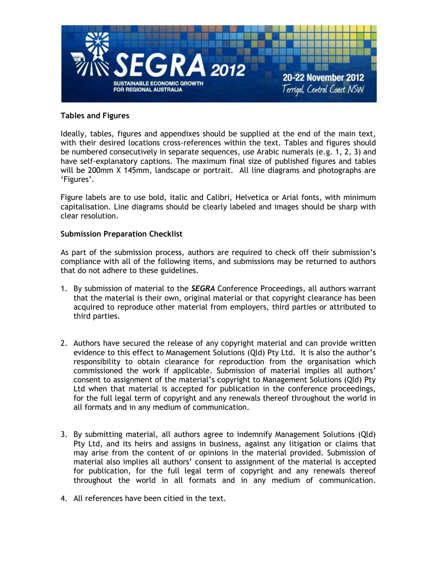

## **Tables and Figures**

Ideally, tables, figures and appendixes should be supplied at the end of the main text, with their desired locations cross-references within the text. Tables and figures should be numbered consecutively in separate sequences, use Arabic numerals (e.g. 1, 2, 3) and have self-explanatory captions. The maximum final size of published figures and tables will be 200mm X 145mm, landscape or portrait. All line diagrams and photographs are 'Figures'.

Figure labels are to use bold, italic and Calibri, Helvetica or Arial fonts, with minimum capitalisation. Line diagrams should be clearly labeled and images should be sharp with clear resolution.

### **Submission Preparation Checklist**

As part of the submission process, authors are required to check off their submission's compliance with all of the following items, and submissions may be returned to authors that do not adhere to these guidelines.

- 1. By submission of material to the *SEGRA* Conference Proceedings, all authors warrant that the material is their own, original material or that copyright clearance has been acquired to reproduce other material from employers, third parties or attributed to third parties.
- 2. Authors have secured the release of any copyright material and can provide written evidence to this effect to Management Solutions (Qld) Pty Ltd. It is also the author's responsibility to obtain clearance for reproduction from the organisation which commissioned the work if applicable. Submission of material implies all authors' consent to assignment of the material's copyright to Management Solutions (Qld) Pty Ltd when that material is accepted for publication in the conference proceedings, for the full legal term of copyright and any renewals thereof throughout the world in all formats and in any medium of communication.
- 3. By submitting material, all authors agree to indemnify Management Solutions (Qld) Pty Ltd, and its heirs and assigns in business, against any litigation or claims that may arise from the content of or opinions in the material provided. Submission of material also implies all authors' consent to assignment of the material is accepted for publication, for the full legal term of copyright and any renewals thereof throughout the world in all formats and in any medium of communication.
- 4. All references have been citied in the text.